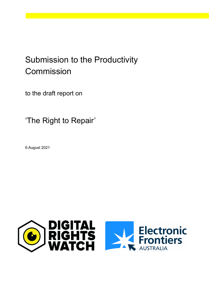# Submission to the Productivity Commission

to the draft report on

'The Right to Repair'

6 August 2021

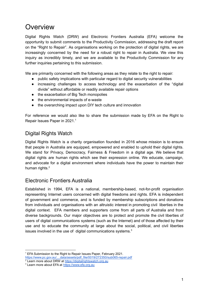## **Overview**

Digital Rights Watch (DRW) and Electronic Frontiers Australia (EFA) welcome the opportunity to submit comments to the Productivity Commission, addressing the draft report on the "Right to Repair". As organisations working on the protection of digital rights, we are increasingly concerned by the need for a robust right to repair in Australia. We view this inquiry as incredibly timely, and we are available to the Productivity Commission for any further inquiries pertaining to this submission.

We are primarily concerned with the following areas as they relate to the right to repair:

- public safety implications with particular regard to digital security vulnerabilities
- increasing challenges to access technology and the exacerbation of the "digital divide" without affordable or readily available repair options
- the exacerbation of Big Tech monopolies
- the environmental impacts of e-waste
- the overarching impact upon DIY tech culture and innovation

For reference we would also like to share the submission made by EFA on the Right to Repair Issues Paper in 2021. 1

#### Digital Rights Watch

Digital Rights Watch is a charity organisation founded in 2016 whose mission is to ensure that people in Australia are equipped, empowered and enabled to uphold their digital rights. We stand for Privacy, Democracy, Fairness & Freedom in a digital age. We believe that digital rights are human rights which see their expression online. We educate, campaign, and advocate for a digital environment where individuals have the power to maintain their human rights.<sup>2</sup>

#### Electronic Frontiers Australia

Established in 1994, EFA is a national, membership-based, not-for-profit organisation representing Internet users concerned with digital freedoms and rights. EFA is independent of government and commerce, and is funded by membership subscriptions and donations from individuals and organisations with an altruistic interest in promoting civil liberties in the digital context. EFA members and supporters come from all parts of Australia and from diverse backgrounds. Our major objectives are to protect and promote the civil liberties of users of digital communications systems (such as the Internet) and of those affected by their use and to educate the community at large about the social, political, and civil liberties issues involved in the use of digital communications systems. $3$ 

 $1$  EFA Submission to the Right to Repair Issues Paper, February 2021.

https://www.pc.gov.au/ data/assets/pdf\_file/0019/272350/sub065-repair.pdf

<sup>&</sup>lt;sup>2</sup> Learn more about DRW at [https://digitalrightswatch.org.au](https://digitalrightswatch.org.au/)

<sup>3</sup> Learn more about EFA at <https://www.efa.org.au>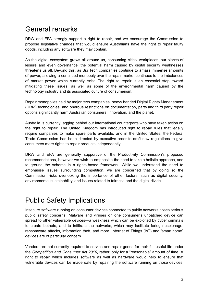#### General remarks

DRW and EFA strongly support a right to repair, and we encourage the Commission to propose legislative changes that would ensure Australians have the right to repair faulty goods, including any software they may contain.

As the digital ecosystem grows all around us, consuming cities, workplaces, our places of leisure and even governance, the potential harm caused by digital security weaknesses threatens us all. Beyond this, as Big Tech companies continue to amass immense amounts of power, allowing a continued monopoly over the repair market continues to the imbalances of market power which currently exist. The right to repair is an essential step toward mitigating these issues, as well as some of the environmental harm caused by the technology industry and its associated culture of consumerism.

Repair monopolies held by major tech companies, heavy handed Digital Rights Management (DRM) technologies, and onerous restrictions on documentation, parts and third party repair options significantly harm Australian consumers, innovation, and the planet.

Australia is currently lagging behind our international counterparts who have taken action on the right to repair. The United Kingdom has introduced right to repair rules that legally require companies to make spare parts available, and in the United States, the Federal Trade Commission has been directed by executive order to draft new regulations to give consumers more rights to repair products independently.

DRW and EFA are generally supportive of the Productivity Commission's proposed recommendations, however we wish to emphasise the need to take a holistic approach, and to ground the scheme in a rights-based framework. While we understand the need to emphasise issues surrounding competition, we are concerned that by doing so the Commission risks overlooking the importance of other factors, such as digital security, environmental sustainability, and issues related to fairness and the digital divide.

## Public Safety Implications

Insecure software running on consumer devices connected to public networks poses serious public safety concerns. Malware and viruses on one consumer's unpatched device can spread to other vulnerable devices—a weakness which can be exploited by cyber criminals to create botnets, and to infiltrate the networks, which may facilitate foriegn espionage, ransomware attacks, information theft, and more. Internet of Things (IoT) and "smart home" devices are of particular concern.

Vendors are not currently required to service and repair goods for their full useful life under the *Competition and Consumer Act 2010*, rather, only for a "reasonable" amount of time. A right to repair which includes software as well as hardware would help to ensure that vulnerable devices can be made safe by repairing the software running on those devices.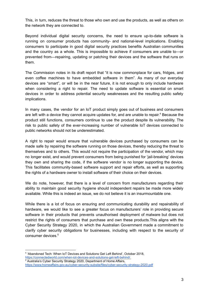This, in turn, reduces the threat to those who own and use the products, as well as others on the network they are connected to.

Beyond individual digital security concerns, the need to ensure up-to-date software is running on consumer products has community- and national-level implications. Enabling consumers to participate in good digital security practices benefits Australian communities and the country as a whole. This is impossible to achieve if consumers are unable to—or prevented from—repairing, updating or patching their devices and the software that runs on them.

The Commission notes in its draft report that "it is now commonplace for cars, fridges, and even coffee machines to have embedded software in them". As many of our everyday devices are "smart", or will be in the near future, it is not enough to only include hardware when considering a right to repair. The need to update software is essential on smart devices in order to address potential security weaknesses and the resulting public safety implications.

In many cases, the vendor for an IoT product simply goes out of business and consumers are left with a device they cannot acquire updates for, and are unable to repair.<sup>4</sup> Because the product still functions, consumers continue to use the product despite its vulnerability. The risk to public safety of the ever-increasing number of vulnerable IoT devices connected to public networks should not be underestimated.

A right to repair would ensure that vulnerable devices purchased by consumers can be made safe by repairing the software running on those devices, thereby reducing the threat to themselves and to others. This would not require the participation of the vendor, which may no longer exist, and would prevent consumers from being punished for 'jail-breaking' devices they own and sharing the code, if the software vendor is no longer supporting the device. This facilitates community-based software support and repair efforts, as well as supporting the rights of a hardware owner to install software of their choice on their devices.

We do note, however, that there is a level of concern from manufacturers regarding their ability to maintain good security hygiene should independent repairs be made more widely available. While this is indeed an issue, we do not believe it is an insurmountable one.

While there is a lot of focus on ensuring and communicating durability and repairability of hardware, we would like to see a greater focus on manufacturers' role in providing secure software in their products that prevents unauthorised deployment of malware but does not restrict the rights of consumers that purchase and own these products.This aligns with the Cyber Security Strategy 2020, in which the Australian Government made a commitment to clarify cyber security obligations for businesses, including with respect to the security of consumer devices. 5

<sup>4</sup> ['Abandoned Tech: When IoT Devices and Solutions Get](https://www.zotero.org/google-docs/?J2dsRg) Left Behind', October 2018, [https://connectedworld.com/when-iot-devices-and-solutions-get-left-behind/.](https://www.zotero.org/google-docs/?J2dsRg)

<sup>5</sup> Australia's Cyber Security Strategy 2020, Department of Home Affairs, <https://www.homeaffairs.gov.au/cyber-security-subsite/files/cyber-security-strategy-2020.pdf>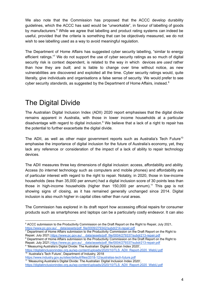We also note that the Commission has proposed that the ACCC develop durability guidelines, which the ACCC has said would be "unworkable", in favour of labelling of goods by manufacturers.<sup>6</sup> While we agree that labelling and product rating systems can indeed be useful, provided that the criteria is something that can be objectively measured, we do not wish to see labelling used as a way to avoid meaningful regulation.

The Department of Home Affairs has suggested cyber security labelling, "similar to energy efficient ratings."7 We do not support the use of cyber security ratings as so much of digital security risk is context dependent, is related to the way in which devices are *used* rather than how they are *built,* and is liable to change over time without notice, as new vulnerabilities are discovered and exploited all the time. Cyber security ratings would, quite literally, give individuals and organisations a false sense of security. We would prefer to see cyber security *standards*, as suggested by the Department of Home Affairs, instead. 8

# The Digital Divide

The Australian Digital Inclusion Index (ADII) 2020 report emphasises that the digital divide remains apparent in Australia, with those in lower income households at a particular disadvantage with regard to digital inclusion.<sup>9</sup> We believe that a lack of a right to repair has the potential to further exacerbate the digital divide.

The ADII, as well as other major government reports such as Australia's Tech Future<sup>10</sup> emphasise the importance of digital inclusion for the future of Australia's economy, yet, they lack any reference or consideration of the impact of a lack of ability to repair technology devices.

The ADII measures three key dimensions of digital inclusion: access, affordability and ability. Access (to internet technology such as computers and mobile phones) and affordability are of particular interest with regard to the right to repair. Notably, in 2020, those in low-income households (less than 35,000 per annum) had a digital inclusion score of 30 points less than those in high-income households (higher than  $150,000$  per annum).<sup>11</sup> This gap is not showing signs of closing, as it has remained generally unchanged since 2014. Digital inclusion is also much higher in capital cities rather than rural areas.

The Commission has explored in its draft report how accessing official repairs for consumer products such as smartphones and laptops can be a particularly costly endeavor. It can also

<sup>8</sup> Department of Home Affairs submission to the Productivity Commission on the Draft Report on the Right to <sup>7</sup> Department of Home Affairs submission to the Productivity Commission on the Draft Report on the Right to Repair, July 2021, https://www.pc.gov.au/ data/assets/pdf\_file/0004/279337/subdr213-repair.pdf

<sup>9</sup> 'Measuring Australia's Digital Divide: The Australian Digital Inclusion Index 2020', Repair, July 2021, https://www.pc.gov.au/ data/assets/pdf\_file/0004/279337/subdr213-repair.pdf

<sup>10</sup> 'Australia's Tech Future', Department of Industry, 2018 [https://digitalinclusionindex.org.au/wp-content/uploads/2020/10/TLS\\_ADII\\_Report-2020\\_WebU.pdf](https://digitalinclusionindex.org.au/wp-content/uploads/2020/10/TLS_ADII_Report-2020_WebU.pdf)

<sup>11</sup> 'Measuring Australia's Digital Divide: The Australian Digital Inclusion Index 2020', [https://digitalinclusionindex.org.au/wp-content/uploads/2020/10/TLS\\_ADII\\_Report-2020\\_WebU.pdf](https://digitalinclusionindex.org.au/wp-content/uploads/2020/10/TLS_ADII_Report-2020_WebU.pdf) <https://www.industry.gov.au/sites/default/files/2018-12/australias-tech-future.pdf>

<sup>&</sup>lt;sup>6</sup> ACCC submission to the Productivity Commission on the Draft Report on the Right to Repair, July 2021, https://www.pc.gov.au/ data/assets/pdf\_file/0009/279342/subdr214-repair.pdf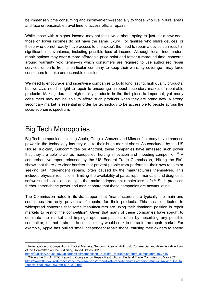be immensely time consuming and inconvenient—especially to those who live in rural areas and face unreasonable travel time to access official repairs.

While those with a higher income may not think twice about opting to 'just get a new one', those on lower incomes do not have the same luxury. For families who share devices, or those who do not readily have access to a 'backup', the need to repair a device can result in significant inconvenience, including possible loss of income. Although local, independent repair options may offer a more affordable price point and faster turnaround time, concerns around warranty void terms—in which consumers are required to use authorised repair services or parts from a particular company to keep their warranty coverage—may force consumers to make unreasonable decisions.

We need to encourage and incentivise companies to build long lasting, high quality products, but we *also* need a right to repair to encourage a robust secondary market of repairable products. Making durable, high-quality products in the first place is important, yet many consumers may not be able to afford such products when they are brand new. A strong secondary market is essential in order for technology to be accessible to people across the socio-economic spectrum.

#### Big Tech Monopolies

Big Tech companies including Apple, Google, Amazon and Microsoft already have immense power in the technology industry due to their huge market share. As concluded by the US House Judiciary Subcommittee on Antitrust, these companies have amassed such power that they are able to act as monopolies, hurting innovation and impeding competition.<sup>12</sup> A comprehensive report released by the US Federal Trade Commission, "Nixing the Fix", shows that there are clear barriers that prevent people from performing their own repairs or seeking out independent repairs, often caused by the manufacturers themselves. This includes physical restrictions; limiting the availability of parts, repair manuals, and diagnostic software and tools; and designs that make independent repairs less safe.<sup>13</sup> Such practices further entrench the power and market share that these companies are accumulating.

The Commission noted in its draft report that "manufacturers are typically the main and sometimes the only providers of repairs for their products. This has contributed to widespread concerns that some manufacturers are using their dominant position in repair markets to restrict the competition". Given that many of these companies have sought to dominate the market and impinge upon competition, often by absorbing any possible competitor, it is not a stretch to consider they would seek to do so in the repair market. For example, Apple has bullied small independent repair shops, causing their owners to spend

<sup>&</sup>lt;sup>12</sup> Investigation of Competition in Digital Markets, Subcommittee on Antitrust, Commercial and Administrative Law of the Committee on the Judiciary, United States 2020,

<sup>&</sup>lt;sup>13</sup> 'Nixing the Fix: An FTC Report to Congress on Repair Restrictions', Federal Trade Commission, May 2021, [https://www.ftc.gov/system/files/documents/reports/nixing-fix-ftc-report-congress-repair-restrictions/nixing\\_the\\_fix](https://www.ftc.gov/system/files/documents/reports/nixing-fix-ftc-report-congress-repair-restrictions/nixing_the_fix_report_final_5521_630pm-508_002.pdf) [\\_report\\_final\\_5521\\_630pm-508\\_002.pdf](https://www.ftc.gov/system/files/documents/reports/nixing-fix-ftc-report-congress-repair-restrictions/nixing_the_fix_report_final_5521_630pm-508_002.pdf) [https://judiciary.house.gov/uploadedfiles/competition\\_in\\_digital\\_markets.pdf?utm\\_campaign=4493-519](https://judiciary.house.gov/uploadedfiles/competition_in_digital_markets.pdf?utm_campaign=4493-519)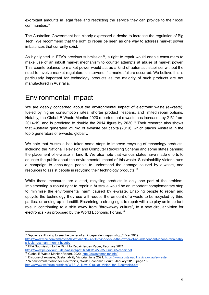exorbitant amounts in legal fees and restricting the service they can provide to their local communities. 14

The Australian Government has clearly expressed a desire to increase the regulation of Big Tech. We recommend that the right to repair be seen as one way to address market power imbalances that currently exist.

As highlighted in EFA's previous submission<sup>15</sup>, a right to repair would enable consumers to make use of an inbuilt market mechanism to counter attempts at abuse of market power. This counterbalance to market power would act as a kind of automatic stabiliser without the need to involve market regulators to intervene if a market failure occurred. We believe this is particularly important for technology products as the majority of such products are not manufactured in Australia.

#### Environmental Impact

We are deeply concerned about the environmental impact of electronic waste (e-waste), fueled by higher consumption rates, shorter product lifespans, and limited repair options. Notably, the Global E-Waste Monitor 2020 reported that e-waste has increased by 21% from 2014-19, and is predicted to double the 2014 figure by 2030.<sup>16</sup> Their research also shows that Australia generated 21.7kg of e-waste per capita (2019), which places Australia in the top 5 generators of e-waste, globally.

We note that Australia has taken some steps to improve recycling of technology products, including the National Television and Computer Recycling Scheme and some states banning the placement of e-waste in landfill. We also note that various states have made efforts to educate the public about the environmental impact of this waste. Sustainability Victoria runs a campaign to encourage people to understand the damage caused by e-waste, and resources to assist people in recycling their technology products. $17$ 

While these measures are a start, recycling products is only one part of the problem. Implementing a robust right to repair in Australia would be an important complementary step to minimise the environmental harm caused by e-waste. Enabling people to repair and upcycle the technology they use will reduce the amount of e-waste to be recycled by third parties, or ending up in landfill. Enshrining a strong right to repair will also play an important role in contributing to a shift away from "throwaway culture", to a new circular vision for electronics - as proposed by the World Economic Forum.<sup>18</sup>

- $\frac{15}{15}$  EFA Submission to the Right to Repair Issues Paper, February 2021.
- <sup>16</sup> Global E-Waste Monitor Report, 2020, <http://ewastemonitor.info/> https://www.pc.gov.au/ data/assets/pdf\_file/0019/272350/sub065-repair.pdf

<sup>&</sup>lt;sup>14</sup> 'Apple is still trying to sue the owner of an independent repair shop,' Vice, 2019 [https://www.vice.com/en/article/9kxzpy/apple-is-still-trying-to-sue-the-owner-of-an-independent-iphone-repair-sho](https://www.vice.com/en/article/9kxzpy/apple-is-still-trying-to-sue-the-owner-of-an-independent-iphone-repair-shop-louis-rossmann-henrik-huseby)

[p-louis-rossmann-henrik-huseby](https://www.vice.com/en/article/9kxzpy/apple-is-still-trying-to-sue-the-owner-of-an-independent-iphone-repair-shop-louis-rossmann-henrik-huseby)

<sup>17</sup> Dispose of e-waste, Sustainability Victoria, June 2021, <https://www.sustainability.vic.gov.au/e-waste>

<sup>&</sup>lt;sup>18</sup> 'A new circular vision for electronics,' World Economic Forum, January 2019, page 16, [http://www3.weforum.org/docs/WEF\\_A\\_New\\_Circular\\_Vision\\_for\\_Electronics.pdf](http://www3.weforum.org/docs/WEF_A_New_Circular_Vision_for_Electronics.pdf)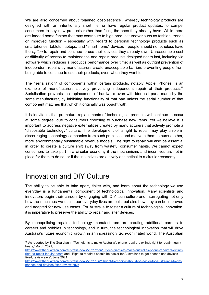We are also concerned about "planned obsolescence", whereby technology products are designed with an intentionally short life, or have regular product updates, to compel consumers to buy new products rather than fixing the ones they already have. While there are indeed some factors that may contribute to high product turnover such as fashion, trends or improved function - especially with regard to personal technology products such as smartphones, tablets, laptops, and "smart home" devices - people should nonetheless have the *option* to repair and continue to use their devices they already own. Unreasonable cost or difficulty of access to maintenance and repair; products designed not to last, including via software which reduces a product's performance over time; as well as outright prevention of independent repairs by manufacturers create unacceptable barriers preventing people from being able to continue to use their products, even when they want to.

The "serialisation" of components within certain products, notably Apple iPhones, is an example of manufacturers actively preventing independent repair of their products.<sup>19</sup> Serialisation prevents the replacement of hardware even with identical parts made by the same manufacturer, by inhibiting functionality of that part unless the serial number of that component matches that which it originally was bought with.

It is inevitable that premature replacements of technological products will continue to occur at some degree, due to consumers choosing to purchase new items. Yet we believe it is important to address negative externalities created by manufacturers that actively promote a "disposable technology" culture. The development of a right to repair may play a role in discouraging technology companies from such practices, and motivate them to pursue other, more environmentally sustainable revenue models. The right to repair will also be essential in order to create a culture shift away from wasteful consumer habits. We cannot expect consumers to take part in a circular economy if the mechanisms and incentives are not in place for them to do so, or if the incentives are actively antithetical to a circular economy.

#### Innovation and DIY Culture

The ability to be able to take apart, tinker with, and learn about the technology we use everyday is a fundamental component of technological innovation. Many scientists and innovators begin their careers by engaging with DIY tech culture and interrogating not only how the machines we use in our everyday lives are built, but also how they can be improved and adapted for new use cases. For Australia to foster a culture of technological innovation, it is imperative to preserve the ability to repair and alter devices.

By monopolising repairs, technology manufacturers are creating additional barriers to careers and hobbies in technology, and in turn, the technological innovation that will drive Australia's future economic growth in an increasingly tech-dominated world. The Australian

<sup>&</sup>lt;sup>19</sup> As reported by The Guardian in 'Tech giants to make Australia's phone repairers extinct, right-to-repair inquiry hears,' March 2021,

[https://www.theguardian.com/australia-news/2021/mar/10/tech-giants-to-make-australias-phone-repairers-extinct](https://www.theguardian.com/australia-news/2021/mar/10/tech-giants-to-make-australias-phone-repairers-extinct-right-to-repair-inquiry-hears)[right-to-repair-inquiry-hears](https://www.theguardian.com/australia-news/2021/mar/10/tech-giants-to-make-australias-phone-repairers-extinct-right-to-repair-inquiry-hears) and, 'Right to repair: it should be easier for Australians to get phones and devices fixed, review says', June 2021,

[https://www.theguardian.com/australia-news/2021/jun/11/right-to-repair-it-should-be-easier-for-australians-to-get](https://www.theguardian.com/australia-news/2021/jun/11/right-to-repair-it-should-be-easier-for-australians-to-get-phones-and-devices-fixed-review-says)[phones-and-devices-fixed-review-says](https://www.theguardian.com/australia-news/2021/jun/11/right-to-repair-it-should-be-easier-for-australians-to-get-phones-and-devices-fixed-review-says)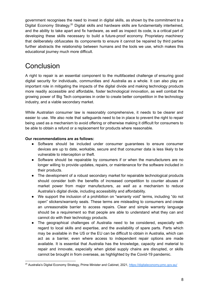government recognises the need to invest in digital skills, as shown by the commitment to a Digital Economy Strategy.<sup>20</sup> Digital skills and hardware skills are fundamentally intertwined, and the ability to take apart and fix hardware, as well as inspect its code, is a critical part of developing these skills necessary to build a future-proof economy. Proprietary machinery that deliberately obfuscates its components to ensure it cannot be repaired by third parties further abstracts the relationship between humans and the tools we use, which makes this educational journey much more difficult.

# **Conclusion**

A right to repair is an essential component to the multifaceted challenge of ensuring good digital security for individuals, communities and Australia as a whole. It can also play an important role in mitigating the impacts of the digital divide and making technology products more readily accessible and affordable, foster technological innovation, as well combat the growing power of Big Tech companies in order to create better competition in the technology industry, and a viable secondary market.

While Australian consumer law is reasonably comprehensive, it needs to be clearer and easier to use. We also note that safeguards need to be in place to prevent the right to repair being used as a mechanism to avoid offering or otherwise making it difficult for consumers to be able to obtain a refund or a replacement for products where reasonable.

#### **Our recommendations are as follows:**

- Software should be included under consumer guarantees to ensure consumer devices are up to date, workable, secure and that consumer data is less likely to be vulnerable to interception or theft.
- Software should be repairable by consumers if or when the manufacturers are no longer willing to provide updates, repairs, or maintenance for the software included in their products.
- The development of a robust secondary market for repairable technological products should consider both the benefits of increased competition to counter abuses of market power from major manufacturers, *as well as* a mechanism to reduce Australia's digital divide, including accessibility and affordability.
- We support the inclusion of a prohibition on "warranty void" terms, including "do not open" stickers/warranty seals. These terms are misleading to consumers and create an unreasonable barrier to access repairs. Clear and simple warranty language should be a requirement so that people are able to understand what they can and cannot do with their technology products.
- The geographical challenges of Australia need to be considered, especially with regard to local skills and expertise, and the availability of spare parts. Parts which may be available in the US or the EU can be difficult to obtain in Australia, which can act as a barrier, even where access to independent repair options are made available. It is essential that Australia has the knowledge, capacity and material to repair and innovate, especially when global supply chains are disrupted, or skills cannot be brought in from overseas, as highlighted by the Covid-19 pandemic.

<sup>20</sup> Australia's Digital Economy Strategy, Prime Minister and Cabinet, 2021, <https://digitaleconomy.pmc.gov.au/>